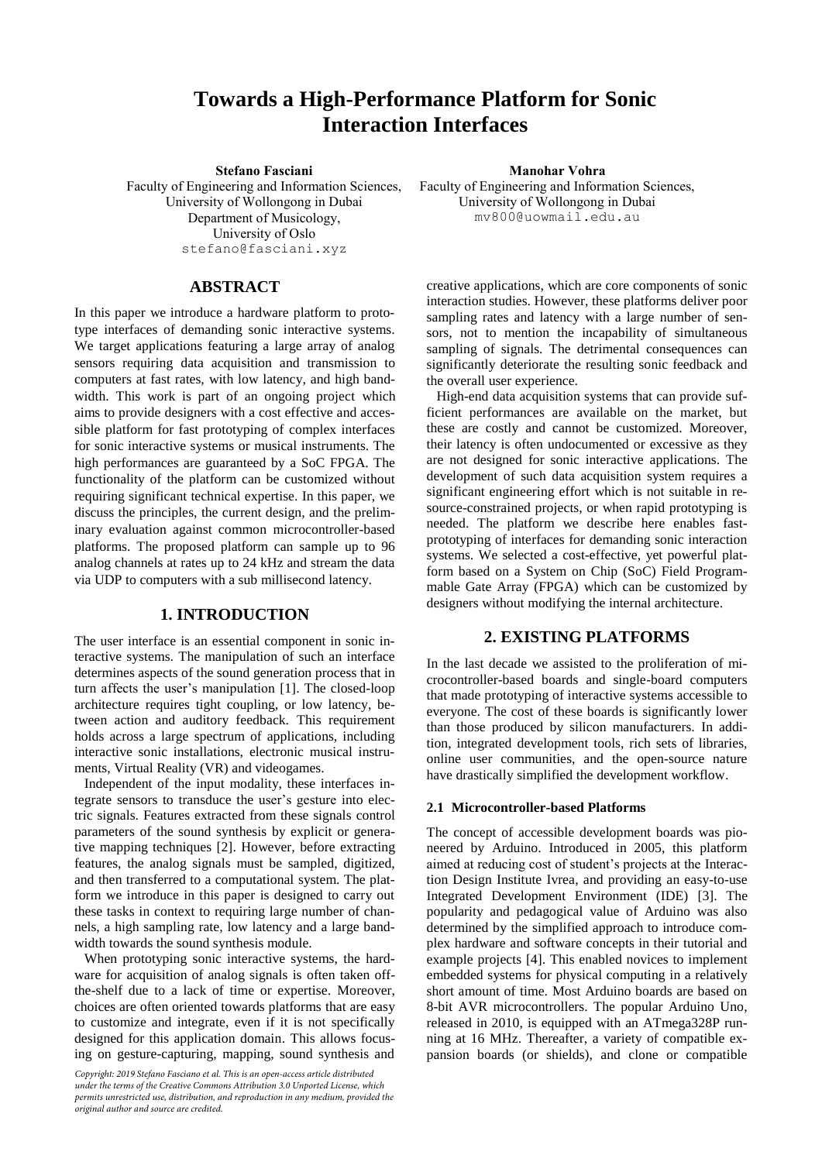# **Towards a High-Performance Platform for Sonic Interaction Interfaces**

**Stefano Fasciani Manohar Vohra**

Faculty of Engineering and Information Sciences, University of Wollongong in Dubai Department of Musicology, University of Oslo [stefano@fasciani.xyz](mailto:stefano@fasciani.xyz)

# **ABSTRACT**

In this paper we introduce a hardware platform to prototype interfaces of demanding sonic interactive systems. We target applications featuring a large array of analog sensors requiring data acquisition and transmission to computers at fast rates, with low latency, and high bandwidth. This work is part of an ongoing project which aims to provide designers with a cost effective and accessible platform for fast prototyping of complex interfaces for sonic interactive systems or musical instruments. The high performances are guaranteed by a SoC FPGA. The functionality of the platform can be customized without requiring significant technical expertise. In this paper, we discuss the principles, the current design, and the preliminary evaluation against common microcontroller-based platforms. The proposed platform can sample up to 96 analog channels at rates up to 24 kHz and stream the data via UDP to computers with a sub millisecond latency.

# **1. INTRODUCTION**

The user interface is an essential component in sonic interactive systems. The manipulation of such an interface determines aspects of the sound generation process that in turn affects the user's manipulation [1]. The closed-loop architecture requires tight coupling, or low latency, between action and auditory feedback. This requirement holds across a large spectrum of applications, including interactive sonic installations, electronic musical instruments, Virtual Reality (VR) and videogames.

Independent of the input modality, these interfaces integrate sensors to transduce the user's gesture into electric signals. Features extracted from these signals control parameters of the sound synthesis by explicit or generative mapping techniques [2]. However, before extracting features, the analog signals must be sampled, digitized, and then transferred to a computational system. The platform we introduce in this paper is designed to carry out these tasks in context to requiring large number of channels, a high sampling rate, low latency and a large bandwidth towards the sound synthesis module.

When prototyping sonic interactive systems, the hardware for acquisition of analog signals is often taken offthe-shelf due to a lack of time or expertise. Moreover, choices are often oriented towards platforms that are easy to customize and integrate, even if it is not specifically designed for this application domain. This allows focusing on gesture-capturing, mapping, sound synthesis and

*Copyright: 2019 Stefano Fasciano et al. This is an open-access article distributed under the terms of the Creative Commons Attribution 3.0 Unported License, which permits unrestricted use, distribution, and reproduction in any medium, provided the original author and source are credited.*

Faculty of Engineering and Information Sciences, University of Wollongong in Dubai mv800@uowmail.edu.au

creative applications, which are core components of sonic interaction studies. However, these platforms deliver poor sampling rates and latency with a large number of sensors, not to mention the incapability of simultaneous sampling of signals. The detrimental consequences can significantly deteriorate the resulting sonic feedback and the overall user experience.

High-end data acquisition systems that can provide sufficient performances are available on the market, but these are costly and cannot be customized. Moreover, their latency is often undocumented or excessive as they are not designed for sonic interactive applications. The development of such data acquisition system requires a significant engineering effort which is not suitable in resource-constrained projects, or when rapid prototyping is needed. The platform we describe here enables fastprototyping of interfaces for demanding sonic interaction systems. We selected a cost-effective, yet powerful platform based on a System on Chip (SoC) Field Programmable Gate Array (FPGA) which can be customized by designers without modifying the internal architecture.

# **2. EXISTING PLATFORMS**

In the last decade we assisted to the proliferation of microcontroller-based boards and single-board computers that made prototyping of interactive systems accessible to everyone. The cost of these boards is significantly lower than those produced by silicon manufacturers. In addition, integrated development tools, rich sets of libraries, online user communities, and the open-source nature have drastically simplified the development workflow.

### **2.1 Microcontroller-based Platforms**

The concept of accessible development boards was pioneered by Arduino. Introduced in 2005, this platform aimed at reducing cost of student's projects at the Interaction Design Institute Ivrea, and providing an easy-to-use Integrated Development Environment (IDE) [3]. The popularity and pedagogical value of Arduino was also determined by the simplified approach to introduce complex hardware and software concepts in their tutorial and example projects [4]. This enabled novices to implement embedded systems for physical computing in a relatively short amount of time. Most Arduino boards are based on 8-bit AVR microcontrollers. The popular Arduino Uno, released in 2010, is equipped with an ATmega328P running at 16 MHz. Thereafter, a variety of compatible expansion boards (or shields), and clone or compatible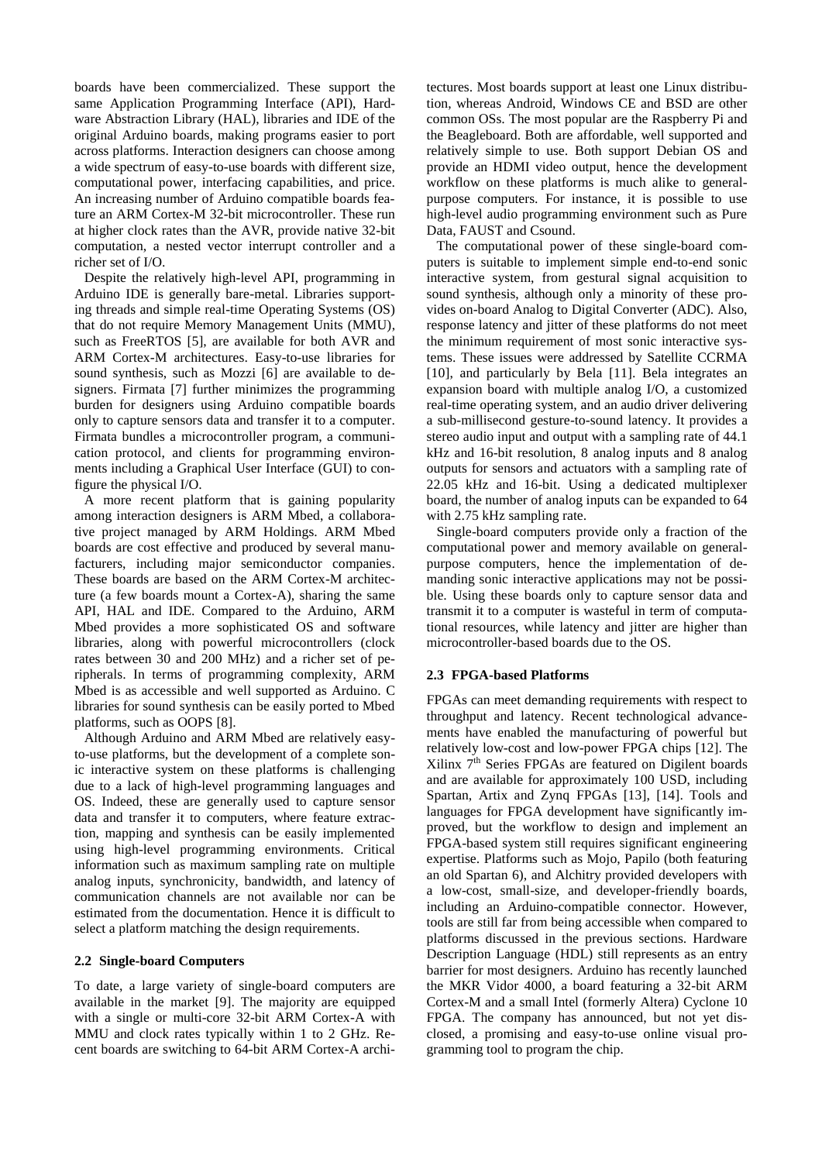boards have been commercialized. These support the same Application Programming Interface (API), Hardware Abstraction Library (HAL), libraries and IDE of the original Arduino boards, making programs easier to port across platforms. Interaction designers can choose among a wide spectrum of easy-to-use boards with different size, computational power, interfacing capabilities, and price. An increasing number of Arduino compatible boards feature an ARM Cortex-M 32-bit microcontroller. These run at higher clock rates than the AVR, provide native 32-bit computation, a nested vector interrupt controller and a richer set of I/O.

Despite the relatively high-level API, programming in Arduino IDE is generally bare-metal. Libraries supporting threads and simple real-time Operating Systems (OS) that do not require Memory Management Units (MMU), such as FreeRTOS [5], are available for both AVR and ARM Cortex-M architectures. Easy-to-use libraries for sound synthesis, such as Mozzi [6] are available to designers. Firmata [7] further minimizes the programming burden for designers using Arduino compatible boards only to capture sensors data and transfer it to a computer. Firmata bundles a microcontroller program, a communication protocol, and clients for programming environments including a Graphical User Interface (GUI) to configure the physical I/O.

A more recent platform that is gaining popularity among interaction designers is ARM Mbed, a collaborative project managed by ARM Holdings. ARM Mbed boards are cost effective and produced by several manufacturers, including major semiconductor companies. These boards are based on the ARM Cortex-M architecture (a few boards mount a Cortex-A), sharing the same API, HAL and IDE. Compared to the Arduino, ARM Mbed provides a more sophisticated OS and software libraries, along with powerful microcontrollers (clock rates between 30 and 200 MHz) and a richer set of peripherals. In terms of programming complexity, ARM Mbed is as accessible and well supported as Arduino. C libraries for sound synthesis can be easily ported to Mbed platforms, such as OOPS [8].

Although Arduino and ARM Mbed are relatively easyto-use platforms, but the development of a complete sonic interactive system on these platforms is challenging due to a lack of high-level programming languages and OS. Indeed, these are generally used to capture sensor data and transfer it to computers, where feature extraction, mapping and synthesis can be easily implemented using high-level programming environments. Critical information such as maximum sampling rate on multiple analog inputs, synchronicity, bandwidth, and latency of communication channels are not available nor can be estimated from the documentation. Hence it is difficult to select a platform matching the design requirements.

### **2.2 Single-board Computers**

To date, a large variety of single-board computers are available in the market [9]. The majority are equipped with a single or multi-core 32-bit ARM Cortex-A with MMU and clock rates typically within 1 to 2 GHz. Recent boards are switching to 64-bit ARM Cortex-A architectures. Most boards support at least one Linux distribution, whereas Android, Windows CE and BSD are other common OSs. The most popular are the Raspberry Pi and the Beagleboard. Both are affordable, well supported and relatively simple to use. Both support Debian OS and provide an HDMI video output, hence the development workflow on these platforms is much alike to generalpurpose computers. For instance, it is possible to use high-level audio programming environment such as Pure Data, FAUST and Csound.

The computational power of these single-board computers is suitable to implement simple end-to-end sonic interactive system, from gestural signal acquisition to sound synthesis, although only a minority of these provides on-board Analog to Digital Converter (ADC). Also, response latency and jitter of these platforms do not meet the minimum requirement of most sonic interactive systems. These issues were addressed by Satellite CCRMA [10], and particularly by Bela [11]. Bela integrates an expansion board with multiple analog I/O, a customized real-time operating system, and an audio driver delivering a sub-millisecond gesture-to-sound latency. It provides a stereo audio input and output with a sampling rate of 44.1 kHz and 16-bit resolution, 8 analog inputs and 8 analog outputs for sensors and actuators with a sampling rate of 22.05 kHz and 16-bit. Using a dedicated multiplexer board, the number of analog inputs can be expanded to 64 with 2.75 kHz sampling rate.

Single-board computers provide only a fraction of the computational power and memory available on generalpurpose computers, hence the implementation of demanding sonic interactive applications may not be possible. Using these boards only to capture sensor data and transmit it to a computer is wasteful in term of computational resources, while latency and jitter are higher than microcontroller-based boards due to the OS.

### **2.3 FPGA-based Platforms**

FPGAs can meet demanding requirements with respect to throughput and latency. Recent technological advancements have enabled the manufacturing of powerful but relatively low-cost and low-power FPGA chips [12]. The Xilinx 7th Series FPGAs are featured on Digilent boards and are available for approximately 100 USD, including Spartan, Artix and Zynq FPGAs [13], [14]. Tools and languages for FPGA development have significantly improved, but the workflow to design and implement an FPGA-based system still requires significant engineering expertise. Platforms such as Mojo, Papilo (both featuring an old Spartan 6), and Alchitry provided developers with a low-cost, small-size, and developer-friendly boards, including an Arduino-compatible connector. However, tools are still far from being accessible when compared to platforms discussed in the previous sections. Hardware Description Language (HDL) still represents as an entry barrier for most designers. Arduino has recently launched the MKR Vidor 4000, a board featuring a 32-bit ARM Cortex-M and a small Intel (formerly Altera) Cyclone 10 FPGA. The company has announced, but not yet disclosed, a promising and easy-to-use online visual programming tool to program the chip.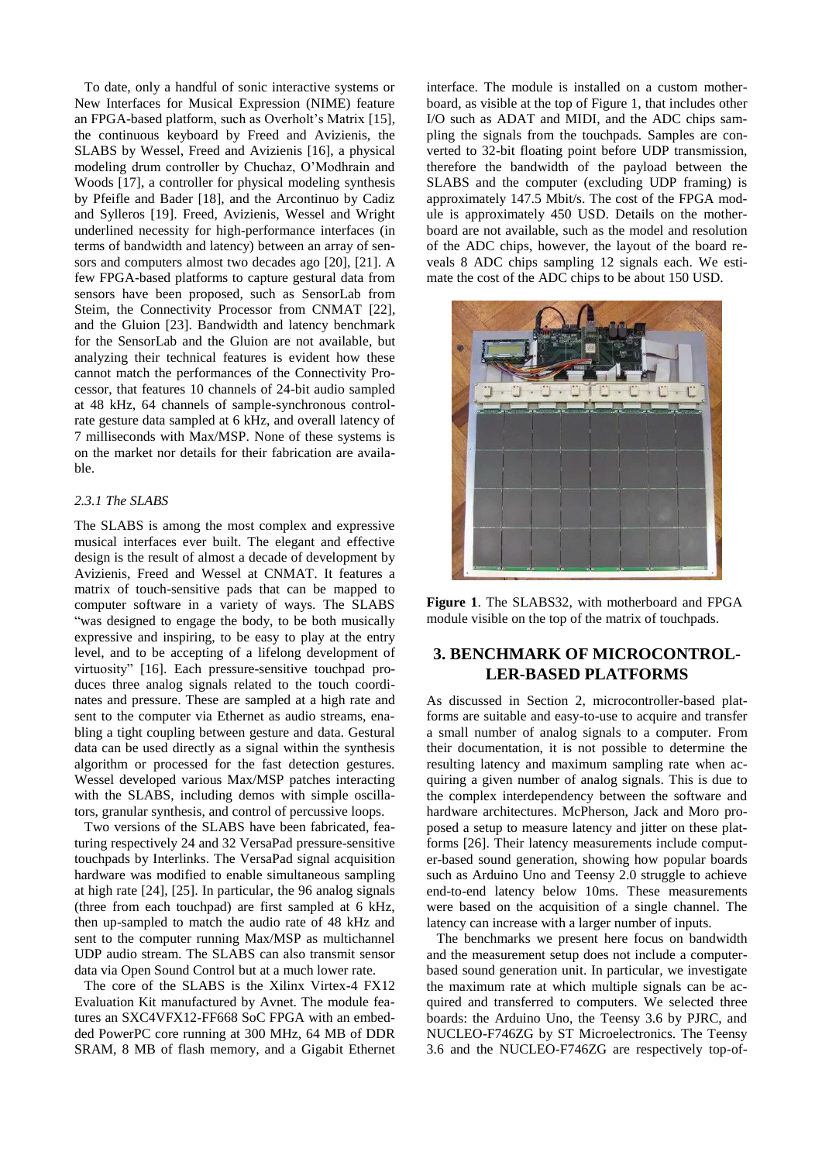To date, only a handful of sonic interactive systems or New Interfaces for Musical Expression (NIME) feature an FPGA-based platform, such as Overholt's Matrix [15], the continuous keyboard by Freed and Avizienis, the SLABS by Wessel, Freed and Avizienis [16], a physical modeling drum controller by Chuchaz, O'Modhrain and Woods [17], a controller for physical modeling synthesis by Pfeifle and Bader [18], and the Arcontinuo by Cadiz and Sylleros [19]. Freed, Avizienis, Wessel and Wright underlined necessity for high-performance interfaces (in terms of bandwidth and latency) between an array of sensors and computers almost two decades ago [20], [21]. A few FPGA-based platforms to capture gestural data from sensors have been proposed, such as SensorLab from Steim, the Connectivity Processor from CNMAT [22], and the Gluion [23]. Bandwidth and latency benchmark for the SensorLab and the Gluion are not available, but analyzing their technical features is evident how these cannot match the performances of the Connectivity Processor, that features 10 channels of 24-bit audio sampled at 48 kHz, 64 channels of sample-synchronous controlrate gesture data sampled at 6 kHz, and overall latency of 7 milliseconds with Max/MSP. None of these systems is on the market nor details for their fabrication are available.

### *2.3.1 The SLABS*

The SLABS is among the most complex and expressive musical interfaces ever built. The elegant and effective design is the result of almost a decade of development by Avizienis, Freed and Wessel at CNMAT. It features a matrix of touch-sensitive pads that can be mapped to computer software in a variety of ways. The SLABS "was designed to engage the body, to be both musically expressive and inspiring, to be easy to play at the entry level, and to be accepting of a lifelong development of virtuosity" [16]. Each pressure-sensitive touchpad produces three analog signals related to the touch coordinates and pressure. These are sampled at a high rate and sent to the computer via Ethernet as audio streams, enabling a tight coupling between gesture and data. Gestural data can be used directly as a signal within the synthesis algorithm or processed for the fast detection gestures. Wessel developed various Max/MSP patches interacting with the SLABS, including demos with simple oscillators, granular synthesis, and control of percussive loops.

Two versions of the SLABS have been fabricated, featuring respectively 24 and 32 VersaPad pressure-sensitive touchpads by Interlinks. The VersaPad signal acquisition hardware was modified to enable simultaneous sampling at high rate [24], [25]. In particular, the 96 analog signals (three from each touchpad) are first sampled at 6 kHz, then up-sampled to match the audio rate of 48 kHz and sent to the computer running Max/MSP as multichannel UDP audio stream. The SLABS can also transmit sensor data via Open Sound Control but at a much lower rate.

The core of the SLABS is the Xilinx Virtex-4 FX12 Evaluation Kit manufactured by Avnet. The module features an SXC4VFX12-FF668 SoC FPGA with an embedded PowerPC core running at 300 MHz, 64 MB of DDR SRAM, 8 MB of flash memory, and a Gigabit Ethernet interface. The module is installed on a custom motherboard, as visible at the top of Figure 1, that includes other I/O such as ADAT and MIDI, and the ADC chips sampling the signals from the touchpads. Samples are converted to 32-bit floating point before UDP transmission, therefore the bandwidth of the payload between the SLABS and the computer (excluding UDP framing) is approximately 147.5 Mbit/s. The cost of the FPGA module is approximately 450 USD. Details on the motherboard are not available, such as the model and resolution of the ADC chips, however, the layout of the board reveals 8 ADC chips sampling 12 signals each. We estimate the cost of the ADC chips to be about 150 USD.



**Figure 1**. The SLABS32, with motherboard and FPGA module visible on the top of the matrix of touchpads.

# **3. BENCHMARK OF MICROCONTROL-LER-BASED PLATFORMS**

As discussed in Section 2, microcontroller-based platforms are suitable and easy-to-use to acquire and transfer a small number of analog signals to a computer. From their documentation, it is not possible to determine the resulting latency and maximum sampling rate when acquiring a given number of analog signals. This is due to the complex interdependency between the software and hardware architectures. McPherson, Jack and Moro proposed a setup to measure latency and jitter on these platforms [26]. Their latency measurements include computer-based sound generation, showing how popular boards such as Arduino Uno and Teensy 2.0 struggle to achieve end-to-end latency below 10ms. These measurements were based on the acquisition of a single channel. The latency can increase with a larger number of inputs.

The benchmarks we present here focus on bandwidth and the measurement setup does not include a computerbased sound generation unit. In particular, we investigate the maximum rate at which multiple signals can be acquired and transferred to computers. We selected three boards: the Arduino Uno, the Teensy 3.6 by PJRC, and NUCLEO-F746ZG by ST Microelectronics. The Teensy 3.6 and the NUCLEO-F746ZG are respectively top-of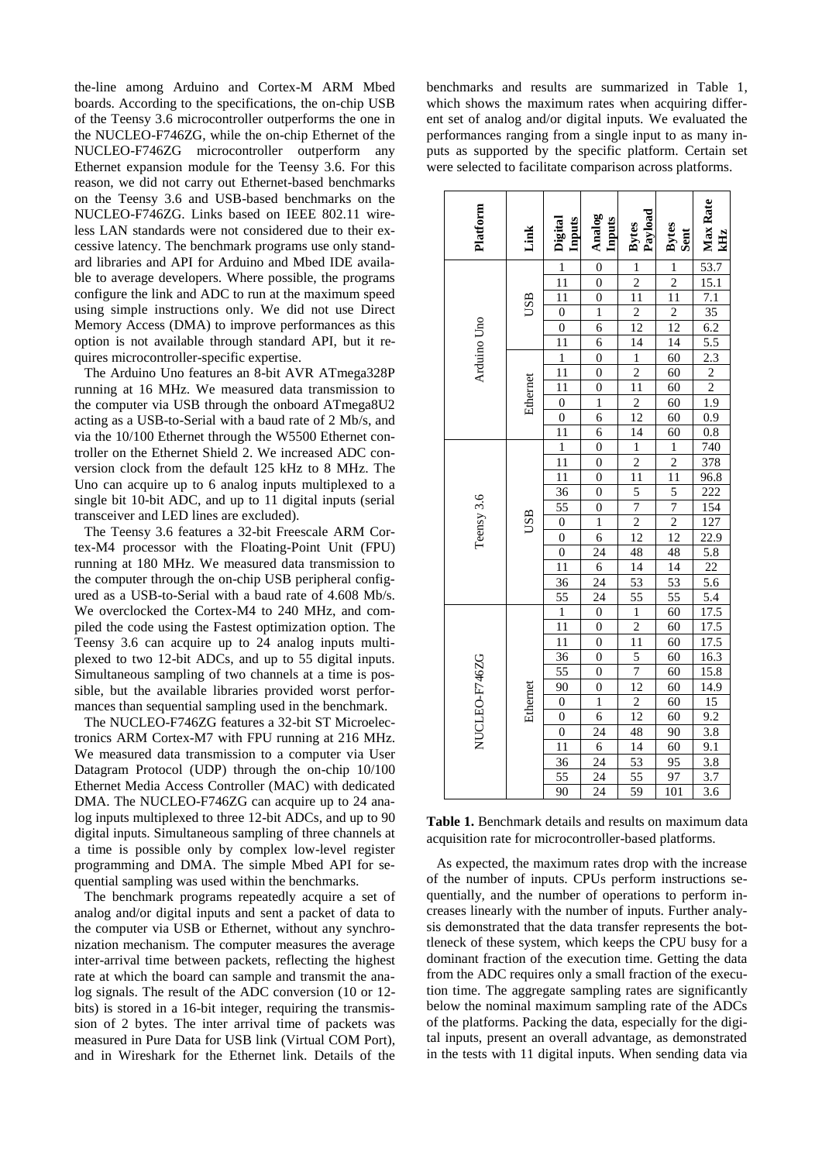the-line among Arduino and Cortex-M ARM Mbed boards. According to the specifications, the on-chip USB of the Teensy 3.6 microcontroller outperforms the one in the NUCLEO-F746ZG, while the on-chip Ethernet of the NUCLEO-F746ZG microcontroller outperform any Ethernet expansion module for the Teensy 3.6. For this reason, we did not carry out Ethernet-based benchmarks on the Teensy 3.6 and USB-based benchmarks on the NUCLEO-F746ZG. Links based on IEEE 802.11 wireless LAN standards were not considered due to their excessive latency. The benchmark programs use only standard libraries and API for Arduino and Mbed IDE available to average developers. Where possible, the programs configure the link and ADC to run at the maximum speed using simple instructions only. We did not use Direct Memory Access (DMA) to improve performances as this option is not available through standard API, but it requires microcontroller-specific expertise.

The Arduino Uno features an 8-bit AVR ATmega328P running at 16 MHz. We measured data transmission to the computer via USB through the onboard ATmega8U2 acting as a USB-to-Serial with a baud rate of 2 Mb/s, and via the 10/100 Ethernet through the W5500 Ethernet controller on the Ethernet Shield 2. We increased ADC conversion clock from the default 125 kHz to 8 MHz. The Uno can acquire up to 6 analog inputs multiplexed to a single bit 10-bit ADC, and up to 11 digital inputs (serial transceiver and LED lines are excluded).

The Teensy 3.6 features a 32-bit Freescale ARM Cortex-M4 processor with the Floating-Point Unit (FPU) running at 180 MHz. We measured data transmission to the computer through the on-chip USB peripheral configured as a USB-to-Serial with a baud rate of 4.608 Mb/s. We overclocked the Cortex-M4 to 240 MHz, and compiled the code using the Fastest optimization option. The Teensy 3.6 can acquire up to 24 analog inputs multiplexed to two 12-bit ADCs, and up to 55 digital inputs. Simultaneous sampling of two channels at a time is possible, but the available libraries provided worst performances than sequential sampling used in the benchmark.

The NUCLEO-F746ZG features a 32-bit ST Microelectronics ARM Cortex-M7 with FPU running at 216 MHz. We measured data transmission to a computer via User Datagram Protocol (UDP) through the on-chip 10/100 Ethernet Media Access Controller (MAC) with dedicated DMA. The NUCLEO-F746ZG can acquire up to 24 analog inputs multiplexed to three 12-bit ADCs, and up to 90 digital inputs. Simultaneous sampling of three channels at a time is possible only by complex low-level register programming and DMA. The simple Mbed API for sequential sampling was used within the benchmarks.

The benchmark programs repeatedly acquire a set of analog and/or digital inputs and sent a packet of data to the computer via USB or Ethernet, without any synchronization mechanism. The computer measures the average inter-arrival time between packets, reflecting the highest rate at which the board can sample and transmit the analog signals. The result of the ADC conversion (10 or 12 bits) is stored in a 16-bit integer, requiring the transmission of 2 bytes. The inter arrival time of packets was measured in Pure Data for USB link (Virtual COM Port), and in Wireshark for the Ethernet link. Details of the

benchmarks and results are summarized in Table 1, which shows the maximum rates when acquiring different set of analog and/or digital inputs. We evaluated the performances ranging from a single input to as many inputs as supported by the specific platform. Certain set were selected to facilitate comparison across platforms.

| Platform      | Link     | Digital<br>Inputs                                                            | Analog<br>Inputs        | Bytes<br>Payload                                                                                                                       | Bytes<br>Sent                                                                             | Max Rate<br>kНz                                                                                                                                                                                                                                       |
|---------------|----------|------------------------------------------------------------------------------|-------------------------|----------------------------------------------------------------------------------------------------------------------------------------|-------------------------------------------------------------------------------------------|-------------------------------------------------------------------------------------------------------------------------------------------------------------------------------------------------------------------------------------------------------|
|               |          | $\frac{1}{11}$ $\frac{11}{0}$ $\frac{0}{11}$ $\frac{1}{11}$ $\frac{1}{11}$   | $\frac{0}{0}$           | $\frac{1}{\frac{2}{11}}$ $\frac{11}{12}$                                                                                               | $\frac{1}{2}$ $\frac{11}{12}$                                                             | $\frac{53.7}{15.1}$<br>$\frac{7.1}{35}$<br>$\frac{35}{6.2}$<br>$\frac{5.5}{2.3}$<br>$\frac{2}{2}$<br>$\frac{1.9}{0.9}$                                                                                                                                |
|               | USB      |                                                                              |                         |                                                                                                                                        |                                                                                           |                                                                                                                                                                                                                                                       |
|               |          |                                                                              | $\overline{0}$          |                                                                                                                                        |                                                                                           |                                                                                                                                                                                                                                                       |
|               |          |                                                                              | $\overline{1}$          |                                                                                                                                        |                                                                                           |                                                                                                                                                                                                                                                       |
| Arduino Uno   |          |                                                                              | $\overline{6}$          |                                                                                                                                        |                                                                                           |                                                                                                                                                                                                                                                       |
|               |          |                                                                              | $\overline{6}$          | $\frac{14}{1}$ $\frac{2}{11}$                                                                                                          | $\frac{14}{60}$ $\frac{60}{60}$ $\frac{60}{60}$                                           |                                                                                                                                                                                                                                                       |
|               |          |                                                                              | $\overline{0}$          |                                                                                                                                        |                                                                                           |                                                                                                                                                                                                                                                       |
|               |          |                                                                              | $\overline{0}$          |                                                                                                                                        |                                                                                           |                                                                                                                                                                                                                                                       |
|               | Ethernet |                                                                              | $\overline{0}$          |                                                                                                                                        |                                                                                           |                                                                                                                                                                                                                                                       |
|               |          | $\begin{array}{c}\n0\\0\\11\n\end{array}$                                    | $\overline{1}$          | $\frac{1}{12}$                                                                                                                         |                                                                                           |                                                                                                                                                                                                                                                       |
|               |          |                                                                              | $\overline{6}$          |                                                                                                                                        |                                                                                           |                                                                                                                                                                                                                                                       |
|               |          |                                                                              | $\overline{6}$          |                                                                                                                                        |                                                                                           |                                                                                                                                                                                                                                                       |
|               |          | $\overline{1}$                                                               | $\overline{0}$          |                                                                                                                                        |                                                                                           |                                                                                                                                                                                                                                                       |
|               |          |                                                                              | $\overline{0}$          |                                                                                                                                        |                                                                                           |                                                                                                                                                                                                                                                       |
|               |          | $\frac{11}{11}$ $\frac{36}{55}$ $\frac{0}{0}$ $\frac{0}{11}$ $\frac{11}{36}$ | $\overline{0}$          | $\frac{14}{1}$ $\frac{1}{2}$ $\frac{11}{1}$ $\frac{5}{5}$ $\frac{7}{7}$ $\frac{2}{12}$ $\frac{12}{48}$ $\frac{14}{14}$ $\frac{14}{53}$ | $\frac{60}{1}$ $\frac{1}{2}$ $\frac{11}{5}$ $\frac{7}{12}$ $\frac{2}{14}$ $\frac{14}{53}$ |                                                                                                                                                                                                                                                       |
|               |          |                                                                              | $\overline{0}$          |                                                                                                                                        |                                                                                           |                                                                                                                                                                                                                                                       |
|               |          |                                                                              | $\boldsymbol{0}$        |                                                                                                                                        |                                                                                           |                                                                                                                                                                                                                                                       |
|               | USB      |                                                                              | $\overline{1}$          |                                                                                                                                        |                                                                                           |                                                                                                                                                                                                                                                       |
| Teensy 3.6    |          |                                                                              | $\overline{6}$          |                                                                                                                                        |                                                                                           |                                                                                                                                                                                                                                                       |
|               |          |                                                                              | $\frac{24}{6}$          |                                                                                                                                        |                                                                                           |                                                                                                                                                                                                                                                       |
|               |          |                                                                              |                         |                                                                                                                                        |                                                                                           |                                                                                                                                                                                                                                                       |
|               |          |                                                                              | $\overline{24}$         |                                                                                                                                        |                                                                                           |                                                                                                                                                                                                                                                       |
|               |          | $rac{55}{1}$<br>$rac{11}{11}$                                                | $\overline{24}$         | $\frac{55}{1}$ $\frac{1}{11}$ $\frac{5}{5}$ $\frac{7}{12}$                                                                             | $\frac{55}{60}$<br>$\frac{60}{60}$                                                        |                                                                                                                                                                                                                                                       |
|               | Ethernet |                                                                              | $\frac{0}{0}$           |                                                                                                                                        |                                                                                           |                                                                                                                                                                                                                                                       |
|               |          |                                                                              |                         |                                                                                                                                        |                                                                                           |                                                                                                                                                                                                                                                       |
|               |          |                                                                              | $\overline{0}$          |                                                                                                                                        |                                                                                           |                                                                                                                                                                                                                                                       |
| NUCLEO-F746ZG |          |                                                                              | $\overline{0}$          |                                                                                                                                        |                                                                                           |                                                                                                                                                                                                                                                       |
|               |          |                                                                              | $\overline{0}$          |                                                                                                                                        |                                                                                           |                                                                                                                                                                                                                                                       |
|               |          | $\frac{36}{55}$ $\frac{90}{0}$ $\frac{0}{0}$ $\frac{0}{11}$                  | $\mathbf{0}$            |                                                                                                                                        | $\frac{60}{60}$ $\frac{60}{60}$ $\frac{60}{90}$ $\frac{60}{95}$                           | $\begin{array}{r} 0.8 \\ 740 \\ 378 \\ 96.8 \\ 222 \\ 154 \\ 127 \\ 22.9 \\ 5.8 \\ 22 \\ 5.6 \\ 17.5 \\ 17.5 \\ 17.5 \\ 17.5 \\ 17.5 \\ 11.5 \\ 11.5 \\ 11.5 \\ 11.5 \\ 11.5 \\ 11.5 \\ 12.8 \\ 13.8 \\ 13.8 \\ 3.7 \\ 3.8 \\ 3.7 \\ 3.6 \end{array}$ |
|               |          |                                                                              | $\mathbf{1}$            | $\frac{2}{12}$<br>$\frac{12}{48}$<br>$\frac{14}{53}$<br>$\frac{55}{59}$                                                                |                                                                                           |                                                                                                                                                                                                                                                       |
|               |          |                                                                              | $\overline{6}$          |                                                                                                                                        |                                                                                           |                                                                                                                                                                                                                                                       |
|               |          |                                                                              | 24                      |                                                                                                                                        |                                                                                           |                                                                                                                                                                                                                                                       |
|               |          |                                                                              |                         |                                                                                                                                        |                                                                                           |                                                                                                                                                                                                                                                       |
|               |          | $\overline{36}$                                                              | $rac{6}{\frac{24}{24}}$ |                                                                                                                                        |                                                                                           |                                                                                                                                                                                                                                                       |
|               |          | $\frac{55}{90}$                                                              |                         |                                                                                                                                        | $\frac{97}{101}$                                                                          |                                                                                                                                                                                                                                                       |
|               |          |                                                                              |                         |                                                                                                                                        |                                                                                           |                                                                                                                                                                                                                                                       |

**Table 1.** Benchmark details and results on maximum data acquisition rate for microcontroller-based platforms.

As expected, the maximum rates drop with the increase of the number of inputs. CPUs perform instructions sequentially, and the number of operations to perform increases linearly with the number of inputs. Further analysis demonstrated that the data transfer represents the bottleneck of these system, which keeps the CPU busy for a dominant fraction of the execution time. Getting the data from the ADC requires only a small fraction of the execution time. The aggregate sampling rates are significantly below the nominal maximum sampling rate of the ADCs of the platforms. Packing the data, especially for the digital inputs, present an overall advantage, as demonstrated in the tests with 11 digital inputs. When sending data via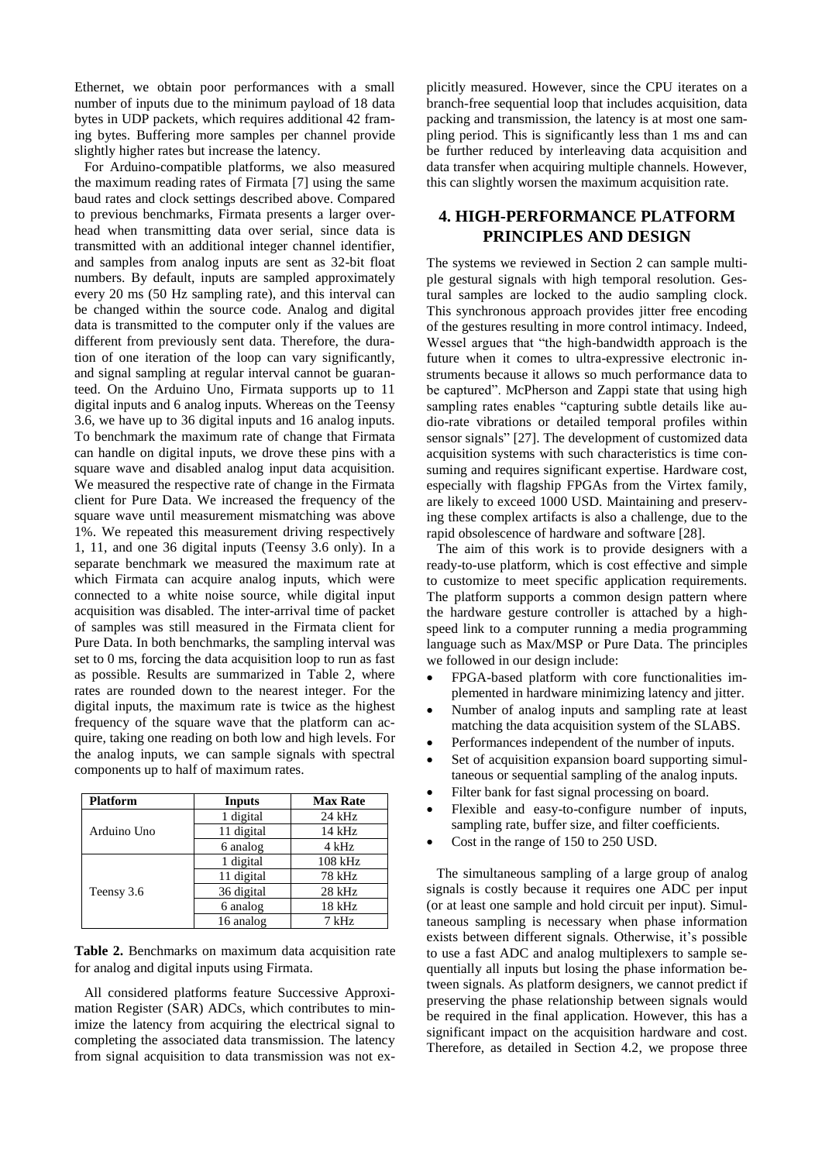Ethernet, we obtain poor performances with a small number of inputs due to the minimum payload of 18 data bytes in UDP packets, which requires additional 42 framing bytes. Buffering more samples per channel provide slightly higher rates but increase the latency.

For Arduino-compatible platforms, we also measured the maximum reading rates of Firmata [7] using the same baud rates and clock settings described above. Compared to previous benchmarks, Firmata presents a larger overhead when transmitting data over serial, since data is transmitted with an additional integer channel identifier, and samples from analog inputs are sent as 32-bit float numbers. By default, inputs are sampled approximately every 20 ms (50 Hz sampling rate), and this interval can be changed within the source code. Analog and digital data is transmitted to the computer only if the values are different from previously sent data. Therefore, the duration of one iteration of the loop can vary significantly, and signal sampling at regular interval cannot be guaranteed. On the Arduino Uno, Firmata supports up to 11 digital inputs and 6 analog inputs. Whereas on the Teensy 3.6, we have up to 36 digital inputs and 16 analog inputs. To benchmark the maximum rate of change that Firmata can handle on digital inputs, we drove these pins with a square wave and disabled analog input data acquisition. We measured the respective rate of change in the Firmata client for Pure Data. We increased the frequency of the square wave until measurement mismatching was above 1%. We repeated this measurement driving respectively 1, 11, and one 36 digital inputs (Teensy 3.6 only). In a separate benchmark we measured the maximum rate at which Firmata can acquire analog inputs, which were connected to a white noise source, while digital input acquisition was disabled. The inter-arrival time of packet of samples was still measured in the Firmata client for Pure Data. In both benchmarks, the sampling interval was set to 0 ms, forcing the data acquisition loop to run as fast as possible. Results are summarized in Table 2, where rates are rounded down to the nearest integer. For the digital inputs, the maximum rate is twice as the highest frequency of the square wave that the platform can acquire, taking one reading on both low and high levels. For the analog inputs, we can sample signals with spectral components up to half of maximum rates.

| <b>Platform</b> | <b>Inputs</b> | <b>Max Rate</b> |  |
|-----------------|---------------|-----------------|--|
|                 | 1 digital     | $24$ kHz        |  |
| Arduino Uno     | 11 digital    | 14 kHz          |  |
|                 | 6 analog      | 4 kHz           |  |
|                 | 1 digital     | 108 kHz         |  |
|                 | 11 digital    | 78 kHz          |  |
| Teensy 3.6      | 36 digital    | 28 kHz          |  |
|                 | 6 analog      | 18 kHz          |  |
|                 | 16 analog     | 7 kHz           |  |

**Table 2.** Benchmarks on maximum data acquisition rate for analog and digital inputs using Firmata.

All considered platforms feature Successive Approximation Register (SAR) ADCs, which contributes to minimize the latency from acquiring the electrical signal to completing the associated data transmission. The latency from signal acquisition to data transmission was not explicitly measured. However, since the CPU iterates on a branch-free sequential loop that includes acquisition, data packing and transmission, the latency is at most one sampling period. This is significantly less than 1 ms and can be further reduced by interleaving data acquisition and data transfer when acquiring multiple channels. However, this can slightly worsen the maximum acquisition rate.

# **4. HIGH-PERFORMANCE PLATFORM PRINCIPLES AND DESIGN**

The systems we reviewed in Section 2 can sample multiple gestural signals with high temporal resolution. Gestural samples are locked to the audio sampling clock. This synchronous approach provides jitter free encoding of the gestures resulting in more control intimacy. Indeed, Wessel argues that "the high-bandwidth approach is the future when it comes to ultra-expressive electronic instruments because it allows so much performance data to be captured". McPherson and Zappi state that using high sampling rates enables "capturing subtle details like audio-rate vibrations or detailed temporal profiles within sensor signals" [27]. The development of customized data acquisition systems with such characteristics is time consuming and requires significant expertise. Hardware cost, especially with flagship FPGAs from the Virtex family, are likely to exceed 1000 USD. Maintaining and preserving these complex artifacts is also a challenge, due to the rapid obsolescence of hardware and software [28].

The aim of this work is to provide designers with a ready-to-use platform, which is cost effective and simple to customize to meet specific application requirements. The platform supports a common design pattern where the hardware gesture controller is attached by a highspeed link to a computer running a media programming language such as Max/MSP or Pure Data. The principles we followed in our design include:

- FPGA-based platform with core functionalities implemented in hardware minimizing latency and jitter.
- Number of analog inputs and sampling rate at least matching the data acquisition system of the SLABS.
- Performances independent of the number of inputs.
- Set of acquisition expansion board supporting simultaneous or sequential sampling of the analog inputs.
- Filter bank for fast signal processing on board.
- Flexible and easy-to-configure number of inputs, sampling rate, buffer size, and filter coefficients.
- Cost in the range of 150 to 250 USD.

The simultaneous sampling of a large group of analog signals is costly because it requires one ADC per input (or at least one sample and hold circuit per input). Simultaneous sampling is necessary when phase information exists between different signals. Otherwise, it's possible to use a fast ADC and analog multiplexers to sample sequentially all inputs but losing the phase information between signals. As platform designers, we cannot predict if preserving the phase relationship between signals would be required in the final application. However, this has a significant impact on the acquisition hardware and cost. Therefore, as detailed in Section 4.2, we propose three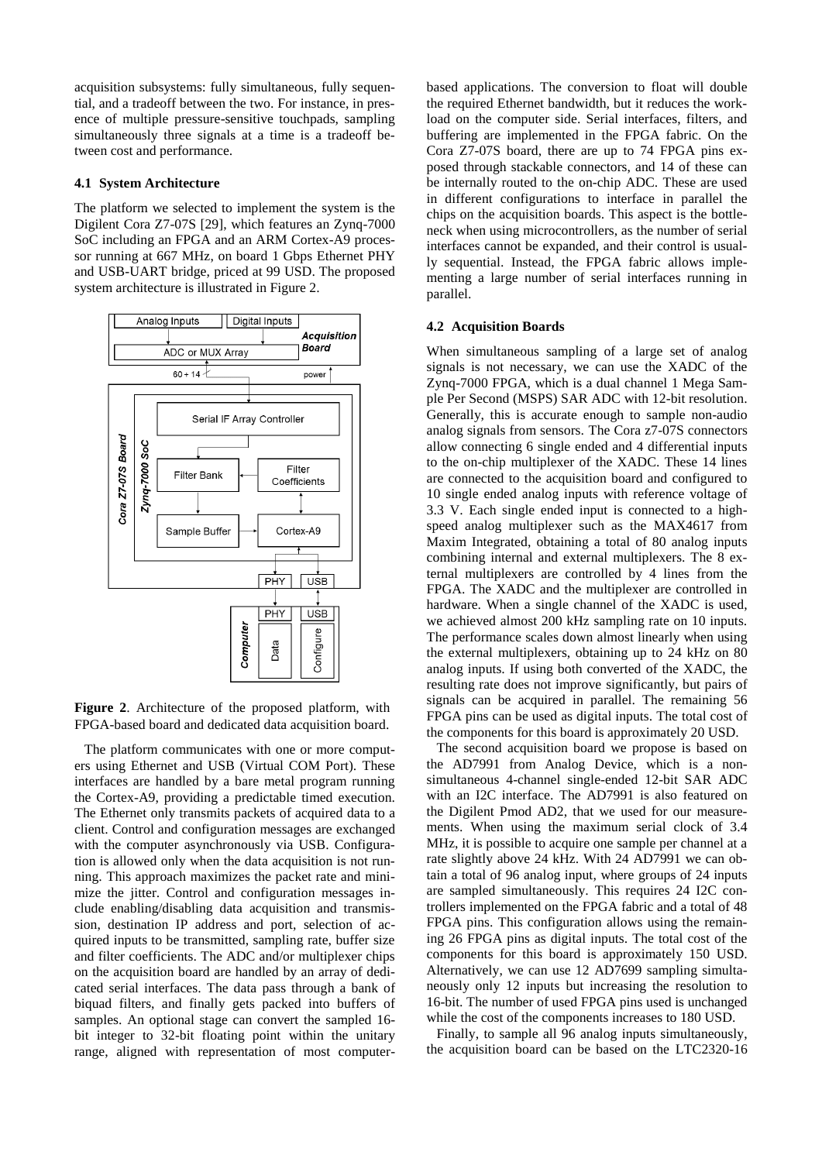acquisition subsystems: fully simultaneous, fully sequential, and a tradeoff between the two. For instance, in presence of multiple pressure-sensitive touchpads, sampling simultaneously three signals at a time is a tradeoff between cost and performance.

### **4.1 System Architecture**

The platform we selected to implement the system is the Digilent Cora Z7-07S [29], which features an Zynq-7000 SoC including an FPGA and an ARM Cortex-A9 processor running at 667 MHz, on board 1 Gbps Ethernet PHY and USB-UART bridge, priced at 99 USD. The proposed system architecture is illustrated in Figure 2.



**Figure 2**. Architecture of the proposed platform, with FPGA-based board and dedicated data acquisition board.

The platform communicates with one or more computers using Ethernet and USB (Virtual COM Port). These interfaces are handled by a bare metal program running the Cortex-A9, providing a predictable timed execution. The Ethernet only transmits packets of acquired data to a client. Control and configuration messages are exchanged with the computer asynchronously via USB. Configuration is allowed only when the data acquisition is not running. This approach maximizes the packet rate and minimize the jitter. Control and configuration messages include enabling/disabling data acquisition and transmission, destination IP address and port, selection of acquired inputs to be transmitted, sampling rate, buffer size and filter coefficients. The ADC and/or multiplexer chips on the acquisition board are handled by an array of dedicated serial interfaces. The data pass through a bank of biquad filters, and finally gets packed into buffers of samples. An optional stage can convert the sampled 16 bit integer to 32-bit floating point within the unitary range, aligned with representation of most computerbased applications. The conversion to float will double the required Ethernet bandwidth, but it reduces the workload on the computer side. Serial interfaces, filters, and buffering are implemented in the FPGA fabric. On the Cora Z7-07S board, there are up to 74 FPGA pins exposed through stackable connectors, and 14 of these can be internally routed to the on-chip ADC. These are used in different configurations to interface in parallel the chips on the acquisition boards. This aspect is the bottleneck when using microcontrollers, as the number of serial interfaces cannot be expanded, and their control is usually sequential. Instead, the FPGA fabric allows implementing a large number of serial interfaces running in parallel.

### **4.2 Acquisition Boards**

When simultaneous sampling of a large set of analog signals is not necessary, we can use the XADC of the Zynq-7000 FPGA, which is a dual channel 1 Mega Sample Per Second (MSPS) SAR ADC with 12-bit resolution. Generally, this is accurate enough to sample non-audio analog signals from sensors. The Cora z7-07S connectors allow connecting 6 single ended and 4 differential inputs to the on-chip multiplexer of the XADC. These 14 lines are connected to the acquisition board and configured to 10 single ended analog inputs with reference voltage of 3.3 V. Each single ended input is connected to a highspeed analog multiplexer such as the MAX4617 from Maxim Integrated, obtaining a total of 80 analog inputs combining internal and external multiplexers. The 8 external multiplexers are controlled by 4 lines from the FPGA. The XADC and the multiplexer are controlled in hardware. When a single channel of the XADC is used, we achieved almost 200 kHz sampling rate on 10 inputs. The performance scales down almost linearly when using the external multiplexers, obtaining up to 24 kHz on 80 analog inputs. If using both converted of the XADC, the resulting rate does not improve significantly, but pairs of signals can be acquired in parallel. The remaining 56 FPGA pins can be used as digital inputs. The total cost of the components for this board is approximately 20 USD.

The second acquisition board we propose is based on the AD7991 from Analog Device, which is a nonsimultaneous 4-channel single-ended 12-bit SAR ADC with an I2C interface. The AD7991 is also featured on the Digilent Pmod AD2, that we used for our measurements. When using the maximum serial clock of 3.4 MHz, it is possible to acquire one sample per channel at a rate slightly above 24 kHz. With 24 AD7991 we can obtain a total of 96 analog input, where groups of 24 inputs are sampled simultaneously. This requires 24 I2C controllers implemented on the FPGA fabric and a total of 48 FPGA pins. This configuration allows using the remaining 26 FPGA pins as digital inputs. The total cost of the components for this board is approximately 150 USD. Alternatively, we can use 12 AD7699 sampling simultaneously only 12 inputs but increasing the resolution to 16-bit. The number of used FPGA pins used is unchanged while the cost of the components increases to 180 USD.

Finally, to sample all 96 analog inputs simultaneously, the acquisition board can be based on the LTC2320-16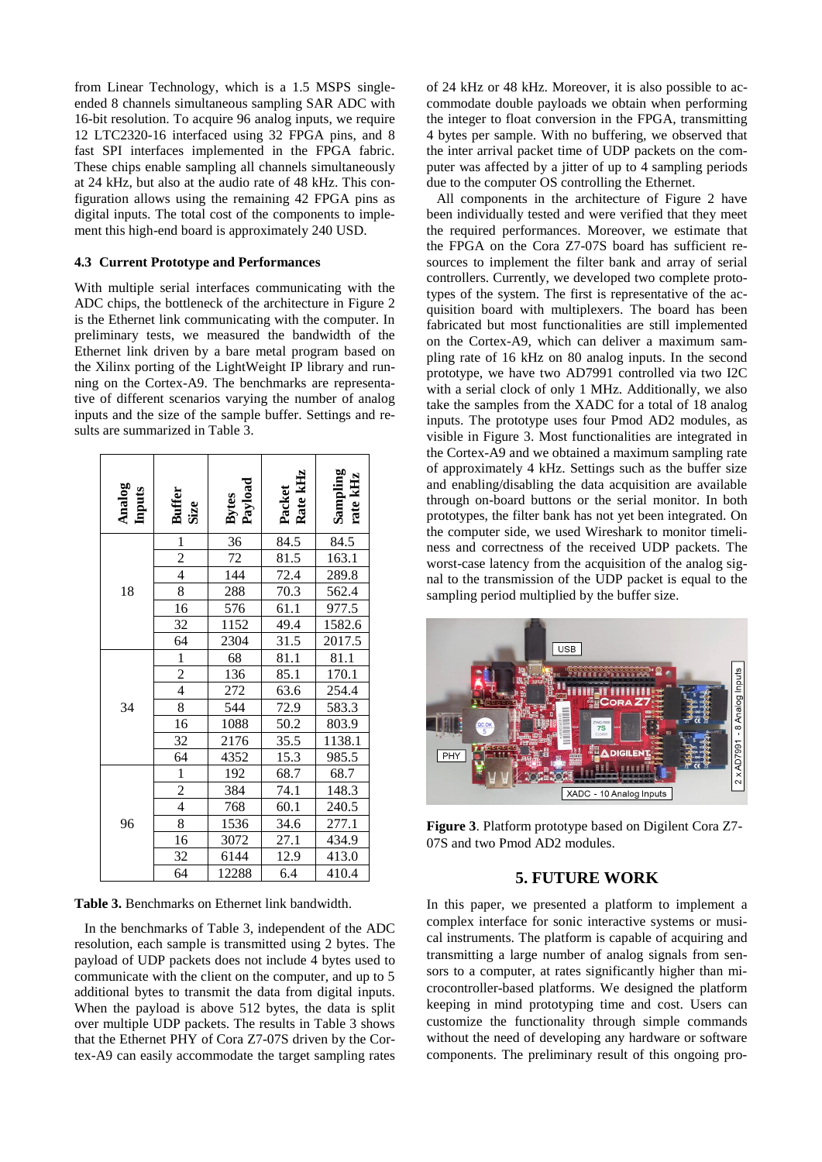from Linear Technology, which is a 1.5 MSPS singleended 8 channels simultaneous sampling SAR ADC with 16-bit resolution. To acquire 96 analog inputs, we require 12 LTC2320-16 interfaced using 32 FPGA pins, and 8 fast SPI interfaces implemented in the FPGA fabric. These chips enable sampling all channels simultaneously at 24 kHz, but also at the audio rate of 48 kHz. This configuration allows using the remaining 42 FPGA pins as digital inputs. The total cost of the components to implement this high-end board is approximately 240 USD.

### **4.3 Current Prototype and Performances**

With multiple serial interfaces communicating with the ADC chips, the bottleneck of the architecture in Figure 2 is the Ethernet link communicating with the computer. In preliminary tests, we measured the bandwidth of the Ethernet link driven by a bare metal program based on the Xilinx porting of the LightWeight IP library and running on the Cortex-A9. The benchmarks are representative of different scenarios varying the number of analog inputs and the size of the sample buffer. Settings and results are summarized in Table 3.

| Analog<br>Inputs | <b>Buffer</b><br>Size | Bytes<br>Payload | Rate kHz<br>Packet | Sampling<br>rate kHz |
|------------------|-----------------------|------------------|--------------------|----------------------|
|                  |                       | 36               | 84.5               | 84.5                 |
| 18               | $\frac{1}{2}$         | 72               | 81.5               | 163.1                |
|                  |                       | 144              | 72.4               | 289.8                |
|                  | $\overline{8}$        | 288              | 70.3               | 562.4                |
|                  | 16                    | 576              | 61.1               | 977.5                |
|                  | 32                    | 1152             | 49.4               | 1582.6               |
|                  | 64                    | 2304             | 31.5               | 2017.5               |
| 34               | $\frac{1}{2}$         | 68               | 81.1               | 81.1                 |
|                  |                       | 136              | 85.1               | 170.1                |
|                  |                       | 272              | 63.6               | 254.4                |
|                  | 8                     | 544              | 72.9               | 583.3                |
|                  | 16                    | 1088             | 50.2               | 803.9                |
|                  | 32                    | 2176             | 35.5               | 1138.1               |
|                  | $\overline{64}$       | 4352             | 15.3               | 985.5                |
| 96               | $\frac{1}{2}$         | 192              | 68.7               | 68.7                 |
|                  |                       | 384              | 74.1               | 148.3                |
|                  |                       | 768              | 60.1               | 240.5                |
|                  | 8                     | 1536             | 34.6               | 277.1                |
|                  | 16                    | 3072             | 27.1               | 434.9                |
|                  | 32                    | 6144             | 12.9               | 413.0                |
|                  | 64                    | 12288            | 6.4                | 410.4                |

**Table 3.** Benchmarks on Ethernet link bandwidth.

In the benchmarks of Table 3, independent of the ADC resolution, each sample is transmitted using 2 bytes. The payload of UDP packets does not include 4 bytes used to communicate with the client on the computer, and up to 5 additional bytes to transmit the data from digital inputs. When the payload is above 512 bytes, the data is split over multiple UDP packets. The results in Table 3 shows that the Ethernet PHY of Cora Z7-07S driven by the Cortex-A9 can easily accommodate the target sampling rates of 24 kHz or 48 kHz. Moreover, it is also possible to accommodate double payloads we obtain when performing the integer to float conversion in the FPGA, transmitting 4 bytes per sample. With no buffering, we observed that the inter arrival packet time of UDP packets on the computer was affected by a jitter of up to 4 sampling periods due to the computer OS controlling the Ethernet.

All components in the architecture of Figure 2 have been individually tested and were verified that they meet the required performances. Moreover, we estimate that the FPGA on the Cora Z7-07S board has sufficient resources to implement the filter bank and array of serial controllers. Currently, we developed two complete prototypes of the system. The first is representative of the acquisition board with multiplexers. The board has been fabricated but most functionalities are still implemented on the Cortex-A9, which can deliver a maximum sampling rate of 16 kHz on 80 analog inputs. In the second prototype, we have two AD7991 controlled via two I2C with a serial clock of only 1 MHz. Additionally, we also take the samples from the XADC for a total of 18 analog inputs. The prototype uses four Pmod AD2 modules, as visible in Figure 3. Most functionalities are integrated in the Cortex-A9 and we obtained a maximum sampling rate of approximately 4 kHz. Settings such as the buffer size and enabling/disabling the data acquisition are available through on-board buttons or the serial monitor. In both prototypes, the filter bank has not yet been integrated. On the computer side, we used Wireshark to monitor timeliness and correctness of the received UDP packets. The worst-case latency from the acquisition of the analog signal to the transmission of the UDP packet is equal to the sampling period multiplied by the buffer size.



**Figure 3**. Platform prototype based on Digilent Cora Z7- 07S and two Pmod AD2 modules.

### **5. FUTURE WORK**

In this paper, we presented a platform to implement a complex interface for sonic interactive systems or musical instruments. The platform is capable of acquiring and transmitting a large number of analog signals from sensors to a computer, at rates significantly higher than microcontroller-based platforms. We designed the platform keeping in mind prototyping time and cost. Users can customize the functionality through simple commands without the need of developing any hardware or software components. The preliminary result of this ongoing pro